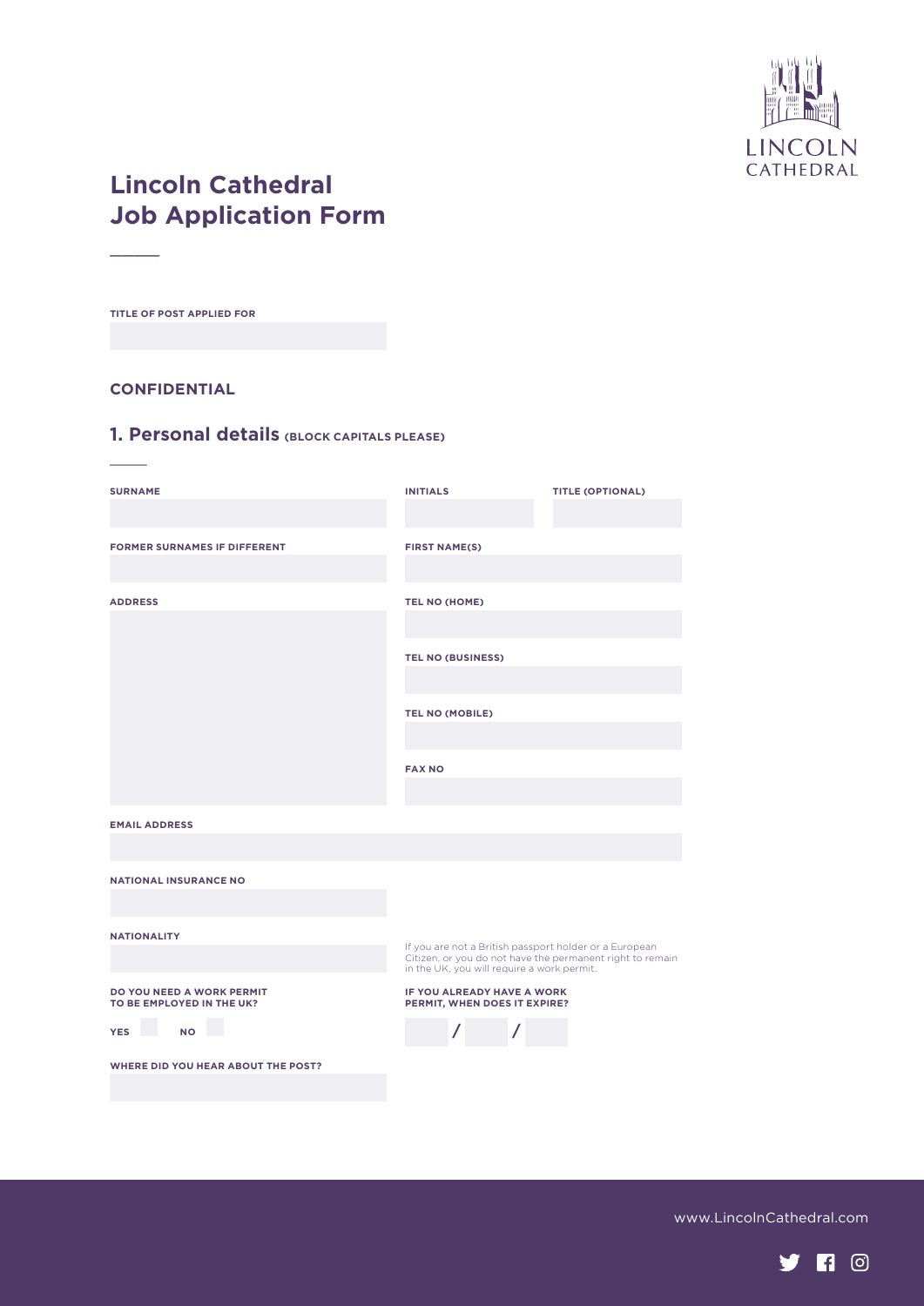

# **Lincoln Cathedral Job Application Form**

**TITLE OF POST APPLIED FOR**

 $\overline{\phantom{a}}$ 

 $\overline{\phantom{a}}$ 

#### **CONFIDENTIAL**

#### **1. Personal details (BLOCK CAPITALS PLEASE)**

| <b>SURNAME</b>                                         | <b>INITIALS</b>                                                                                                                                                   | <b>TITLE (OPTIONAL)</b> |
|--------------------------------------------------------|-------------------------------------------------------------------------------------------------------------------------------------------------------------------|-------------------------|
| <b>FORMER SURNAMES IF DIFFERENT</b>                    | <b>FIRST NAME(S)</b>                                                                                                                                              |                         |
| <b>ADDRESS</b>                                         | TEL NO (HOME)                                                                                                                                                     |                         |
|                                                        | <b>TEL NO (BUSINESS)</b>                                                                                                                                          |                         |
|                                                        | <b>TEL NO (MOBILE)</b>                                                                                                                                            |                         |
|                                                        | <b>FAX NO</b>                                                                                                                                                     |                         |
| <b>EMAIL ADDRESS</b>                                   |                                                                                                                                                                   |                         |
| <b>NATIONAL INSURANCE NO</b>                           |                                                                                                                                                                   |                         |
| <b>NATIONALITY</b>                                     | If you are not a British passport holder or a European<br>Citizen, or you do not have the permanent right to remain<br>in the UK, you will require a work permit. |                         |
| DO YOU NEED A WORK PERMIT<br>TO BE EMPLOYED IN THE UK? | IF YOU ALREADY HAVE A WORK<br>PERMIT, WHEN DOES IT EXPIRE?                                                                                                        |                         |
| <b>NO</b><br><b>YES</b>                                |                                                                                                                                                                   |                         |
| <b>WHERE DID YOU HEAR ABOUT THE POST?</b>              |                                                                                                                                                                   |                         |

www.LincolnCathedral.com

**yn**o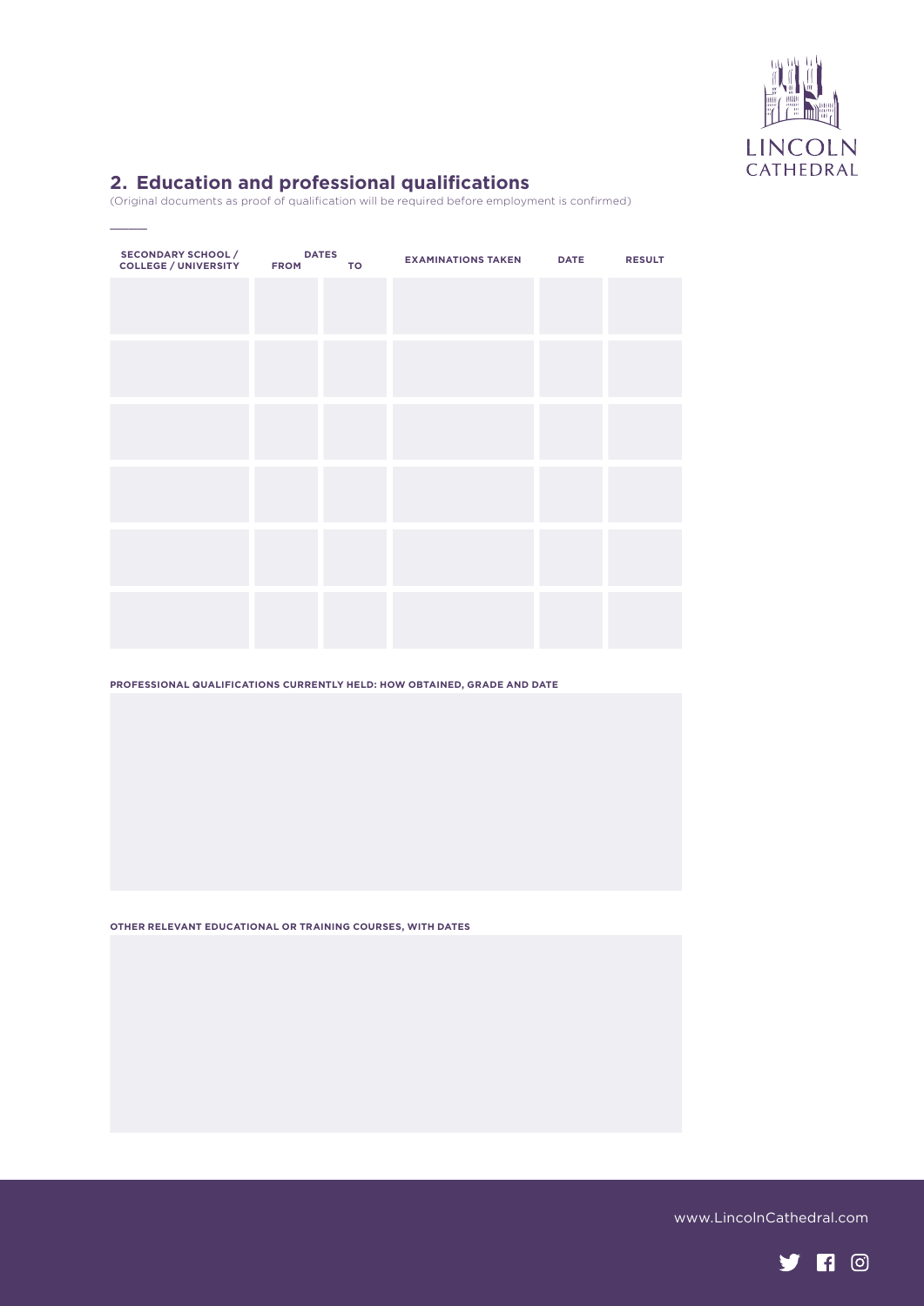

## **2. Education and professional qualifications**

 $\overline{\phantom{a}}$ 

(Original documents as proof of qualification will be required before employment is confirmed)

| <b>SECONDARY SCHOOL /</b><br>COLLEGE / UNIVERSITY FROM | <b>DATES</b> | <b>TO</b> | <b>EXAMINATIONS TAKEN DATE</b> | <b>RESULT</b> |
|--------------------------------------------------------|--------------|-----------|--------------------------------|---------------|
|                                                        |              |           |                                |               |
|                                                        |              |           |                                |               |
|                                                        |              |           |                                |               |
|                                                        |              |           |                                |               |
|                                                        |              |           |                                |               |
|                                                        |              |           |                                |               |
|                                                        |              |           |                                |               |
|                                                        |              |           |                                |               |
|                                                        |              |           |                                |               |
|                                                        |              |           |                                |               |
|                                                        |              |           |                                |               |
|                                                        |              |           |                                |               |
|                                                        |              |           |                                |               |

**PROFESSIONAL QUALIFICATIONS CURRENTLY HELD: HOW OBTAINED, GRADE AND DATE** 

**OTHER RELEVANT EDUCATIONAL OR TRAINING COURSES, WITH DATES**

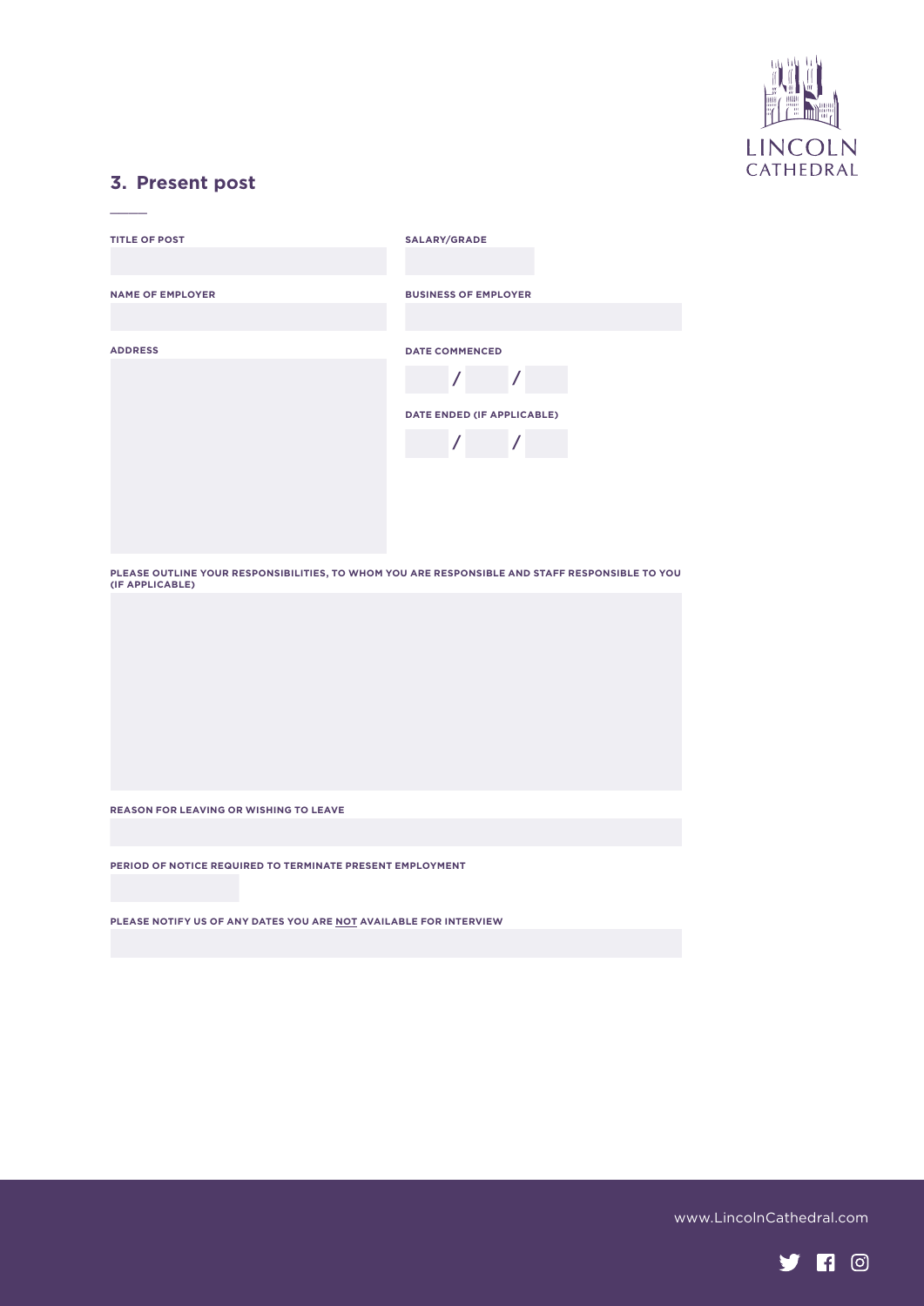

#### **3. Present post**

 $\overline{\phantom{a}}$ 

| <b>TITLE OF POST</b>    | <b>SALARY/GRADE</b>         |
|-------------------------|-----------------------------|
|                         |                             |
| <b>NAME OF EMPLOYER</b> | <b>BUSINESS OF EMPLOYER</b> |
|                         |                             |
| <b>ADDRESS</b>          | <b>DATE COMMENCED</b>       |
|                         |                             |
|                         | DATE ENDED (IF APPLICABLE)  |
|                         |                             |
|                         |                             |
|                         |                             |
|                         |                             |

**PLEASE OUTLINE YOUR RESPONSIBILITIES, TO WHOM YOU ARE RESPONSIBLE AND STAFF RESPONSIBLE TO YOU (IF APPLICABLE)**

**REASON FOR LEAVING OR WISHING TO LEAVE**

**PERIOD OF NOTICE REQUIRED TO TERMINATE PRESENT EMPLOYMENT**

**PLEASE NOTIFY US OF ANY DATES YOU ARE NOT AVAILABLE FOR INTERVIEW**

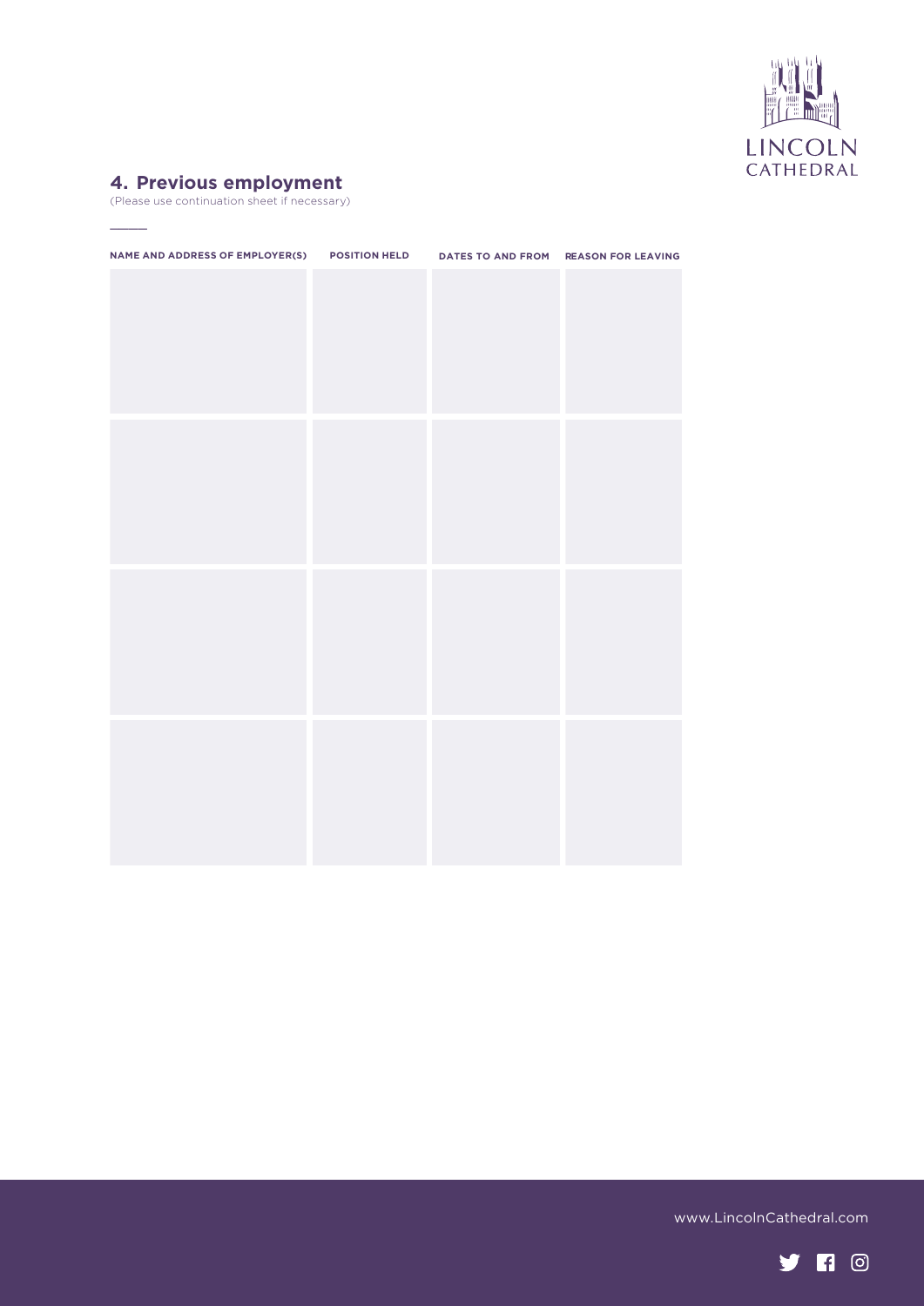

#### **4. Previous employment**

 $\overline{\phantom{a}}$ 

(Please use continuation sheet if necessary)

| NAME AND ADDRESS OF EMPLOYER(S) POSITION HELD DATES TO AND FROM REASON FOR LEAVING |  |  |
|------------------------------------------------------------------------------------|--|--|
|                                                                                    |  |  |
|                                                                                    |  |  |
|                                                                                    |  |  |
|                                                                                    |  |  |
|                                                                                    |  |  |
|                                                                                    |  |  |
|                                                                                    |  |  |
|                                                                                    |  |  |
|                                                                                    |  |  |
|                                                                                    |  |  |
|                                                                                    |  |  |
|                                                                                    |  |  |
|                                                                                    |  |  |
|                                                                                    |  |  |
|                                                                                    |  |  |
|                                                                                    |  |  |
|                                                                                    |  |  |
|                                                                                    |  |  |

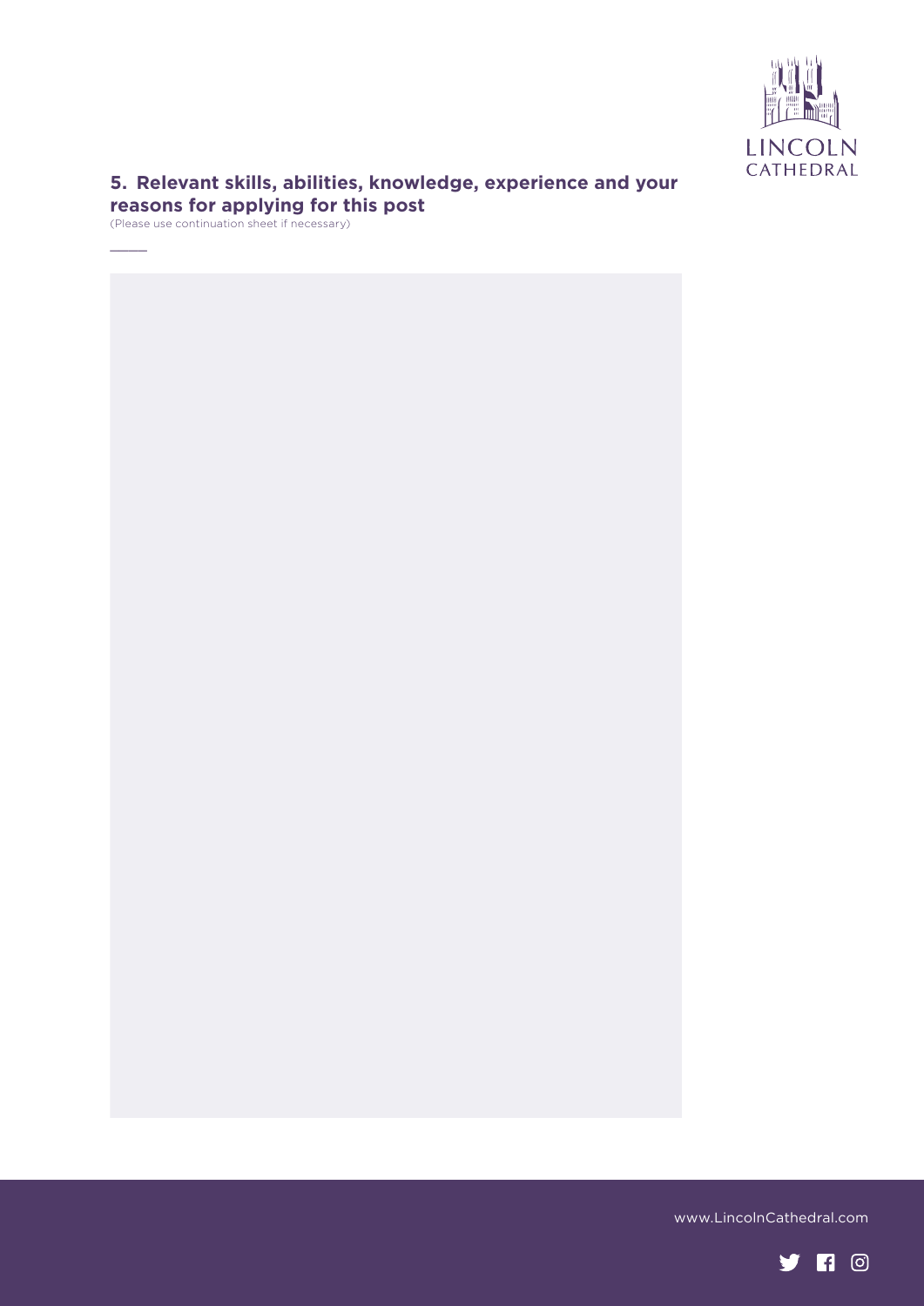

## **5. Relevant skills, abilities, knowledge, experience and your reasons for applying for this post**

(Please use continuation sheet if necessary)

 $\overline{\phantom{a}}$ 

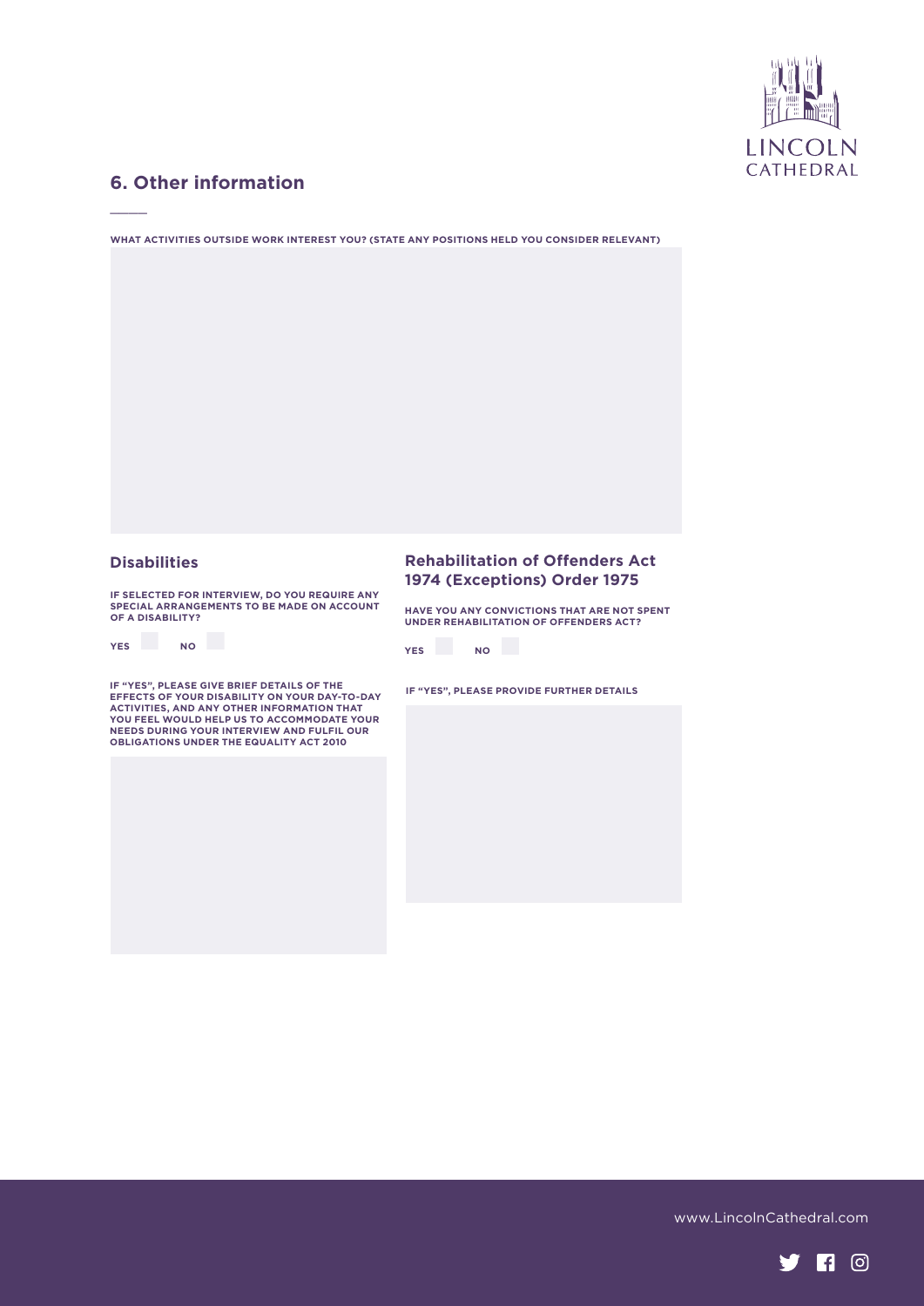

## **6. Other information**

 $\overline{\phantom{a}}$ 

**WHAT ACTIVITIES OUTSIDE WORK INTEREST YOU? (STATE ANY POSITIONS HELD YOU CONSIDER RELEVANT)**

**IF SELECTED FOR INTERVIEW, DO YOU REQUIRE ANY SPECIAL ARRANGEMENTS TO BE MADE ON ACCOUNT OF A DISABILITY?** 

| <b>YES</b> | <b>NO</b> |
|------------|-----------|

IF "YES", PLEASE GIVE BRIEF DETAILS OF THE<br>EFFECTS OF YOUR DISABILITY ON YOUR DAY-TO-DAY<br>ACTIVITIES, AND ANY OTHER INFORMATION THAT<br>YOU FEEL WOULD HELP US TO ACCOMMODATE YOUR<br>NEEDS DURING YOUR INTERVIEW AND FULFIL OUR<br>OBLI

#### **Disabilities Rehabilitation of Offenders Act 1974 (Exceptions) Order 1975**

**HAVE YOU ANY CONVICTIONS THAT ARE NOT SPENT UNDER REHABILITATION OF OFFENDERS ACT?** 



**IF "YES", PLEASE PROVIDE FURTHER DETAILS** 



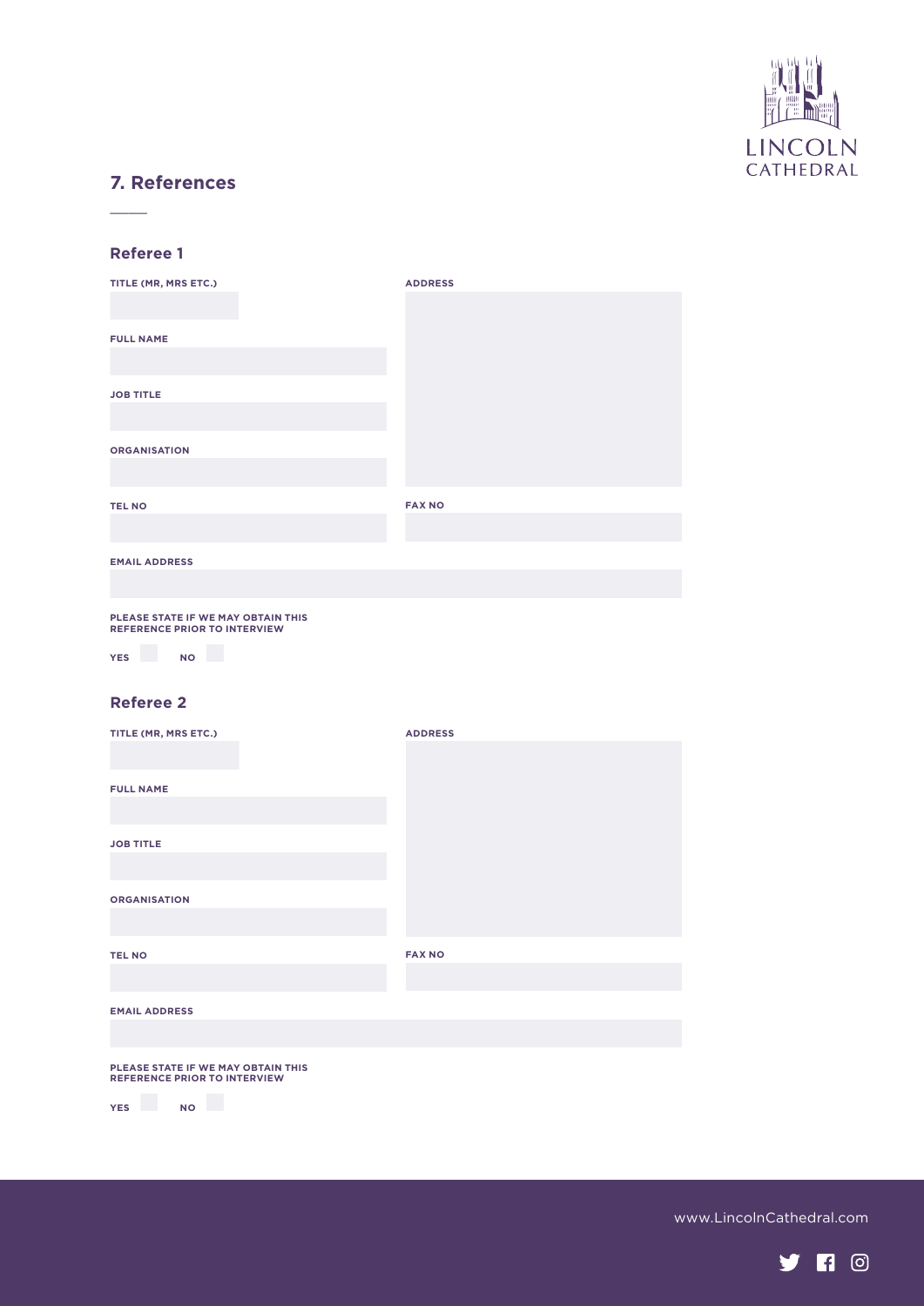

## **7. References**

#### **Referee 1**

 $\frac{1}{2}$ 

| TITLE (MR, MRS ETC.)                                                      | <b>ADDRESS</b> |
|---------------------------------------------------------------------------|----------------|
|                                                                           |                |
| <b>FULL NAME</b>                                                          |                |
|                                                                           |                |
| <b>JOB TITLE</b>                                                          |                |
|                                                                           |                |
| <b>ORGANISATION</b>                                                       |                |
|                                                                           |                |
| <b>TEL NO</b>                                                             | <b>FAX NO</b>  |
|                                                                           |                |
| <b>EMAIL ADDRESS</b>                                                      |                |
|                                                                           |                |
| PLEASE STATE IF WE MAY OBTAIN THIS<br><b>REFERENCE PRIOR TO INTERVIEW</b> |                |
| <b>YES</b><br><b>NO</b>                                                   |                |
| <b>Referee 2</b>                                                          |                |

| TITLE (MR, MRS ETC.)                                                      | <b>ADDRESS</b> |
|---------------------------------------------------------------------------|----------------|
|                                                                           |                |
| <b>FULL NAME</b>                                                          |                |
|                                                                           |                |
| <b>JOB TITLE</b>                                                          |                |
|                                                                           |                |
| <b>ORGANISATION</b>                                                       |                |
|                                                                           |                |
| <b>TEL NO</b>                                                             | <b>FAX NO</b>  |
|                                                                           |                |
| <b>EMAIL ADDRESS</b>                                                      |                |
|                                                                           |                |
| PLEASE STATE IF WE MAY OBTAIN THIS<br><b>REFERENCE PRIOR TO INTERVIEW</b> |                |
| <b>YES</b><br><b>NO</b>                                                   |                |